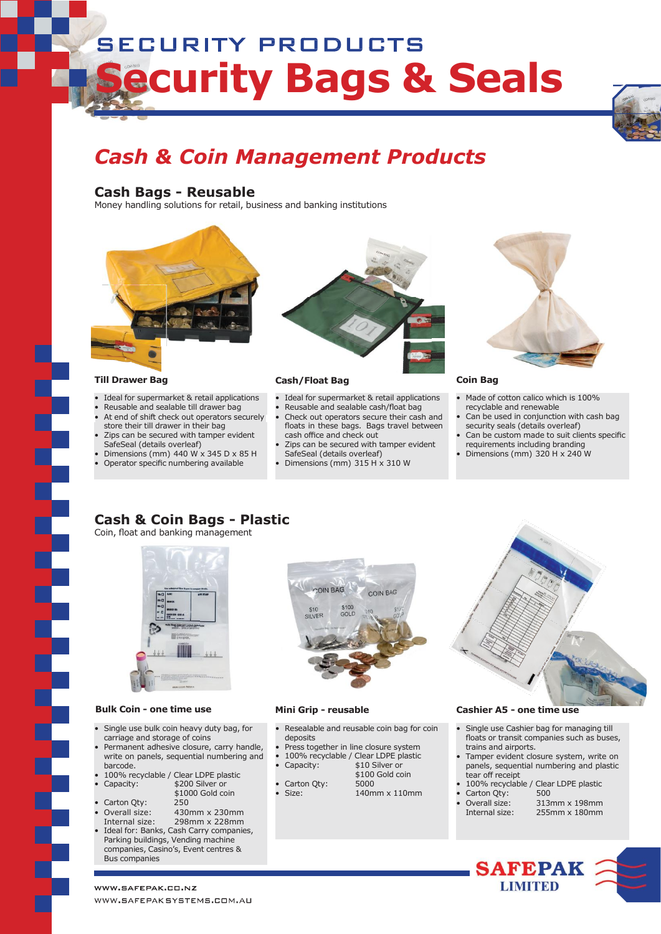# **SECURITY PRODUCTS Security Bags & Seals**



# *Cash & Coin Management Products*

## **Cash Bags - Reusable**

Money handling solutions for retail, business and banking institutions



- Ideal for supermarket & retail applications
- Reusable and sealable till drawer bag
- At end of shift check out operators securely
- store their till drawer in their bag Zips can be secured with tamper evident
- SafeSeal (details overleaf)
- Dimensions (mm)  $440 W \times 345 D \times 85 H$
- Operator specific numbering available



### **Till Drawer Bag Cash/Float Bag Coin Bag**

- Ideal for supermarket & retail applications
- Reusable and sealable cash/float bag
- Check out operators secure their cash and floats in these bags. Bags travel between
- cash office and check out Zips can be secured with tamper evident
- SafeSeal (details overleaf)
- Dimensions (mm) 315 H x 310 W



- Made of cotton calico which is 100%
- recyclable and renewable Can be used in conjunction with cash bag
- security seals (details overleaf) Can be custom made to suit clients specific
- requirements including branding
- Dimensions (mm) 320 H x 240 W

# **Cash & Coin Bags - Plastic**

Coin, float and banking management



### **Bulk Coin - one time use Mini Grip - reusable Cashier A5 - one time use**

- Single use bulk coin heavy duty bag, for carriage and storage of coins
- Permanent adhesive closure, carry handle, write on panels, sequential numbering and barcode.
- 100% recyclable / Clear LDPE plastic • Capacity: \$200 Silver or
- \$1000 Gold coin<br>250 Carton Qty:
- Overall size: 430mm x 230mm Internal size: 298mm x 228mm
- Ideal for: Banks, Cash Carry companies, Parking buildings, Vending machine companies, Casino's, Event centres & Bus companies



- Resealable and reusable coin bag for coin deposits
- 
- - - \$100 Gold coin

140mm x 110mm

Carton Qty:<br>Size:



- Single use Cashier bag for managing till floats or transit companies such as buses, trains and airports.
- Tamper evident closure system, write on panels, sequential numbering and plastic tear off receipt
- 100% recyclable / Clear LDPE plastic<br>Carton Oty: 500
- Carton Qty:<br>Overall size:
	- 313mm x 198mm Internal size: 255mm x 180mm
		- **SAFEPAK LIMITED**